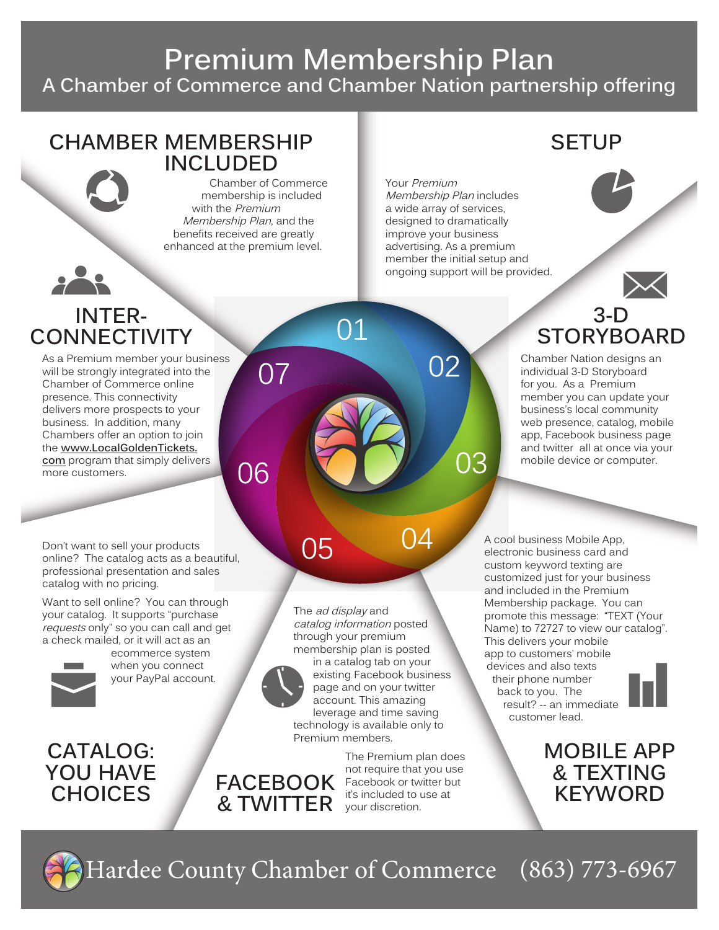# **Premium Membership Plan A Chamber of Commerce and Chamber Nation partnership offering**

 $O<sub>1</sub>$ 

#### **CHAMBER MEMBERSHIP INCLUDED**

Chamber of Commerce membership is included with the Premium Membership Plan, and the benefits received are greatly enhanced at the premium level.

07

06

## **SETUP**

Your Premium Membership Plan includes a wide array of services, designed to dramatically improve your business advertising. As a premium member the initial setup and ongoing support will be provided.

02

03





Chamber Nation designs an individual 3-D Storyboard for you. As a Premium member you can update your business's local community web presence, catalog, mobile app, Facebook business page and twitter all at once via your mobile device or computer.

Don't want to sell your products online? The catalog acts as a beautiful, professional presentation and sales catalog with no pricing.

**INTER-CONNECTIVITY**

As a Premium member your business will be strongly integrated into the Chamber of Commerce online presence. This connectivity delivers more prospects to your business. In addition, many Chambers offer an option to join the **www.LocalGoldenTickets. com** program that simply delivers

Want to sell online? You can through your catalog. It supports "purchase requests only" so you can call and get a check mailed, or it will act as an



more customers.

**CATALOG: YOU HAVE CHOICES** 

ecommerce system when you connect your PayPal account. 05



catalog information posted through your premium membership plan is posted in a catalog tab on your existing Facebook business page and on your twitter account. This amazing leverage and time saving technology is available only to Premium members.

**& TWITTER** your discretion. The Premium plan does not require that you use your discretion.

04

A cool business Mobile App, electronic business card and custom keyword texting are customized just for your business and included in the Premium Membership package. You can promote this message: "TEXT (Your Name) to 72727 to view our catalog". This delivers your mobile app to customers' mobile devices and also texts their phone number back to you. The result? -- an immediate customer lead.

**MOBILE APP & TEXTING FACEBOOK** Facebook or twitter but<br> **R. TWITTER** vour discretion



Hardee County Chamber of Commerce (863) 773-6967